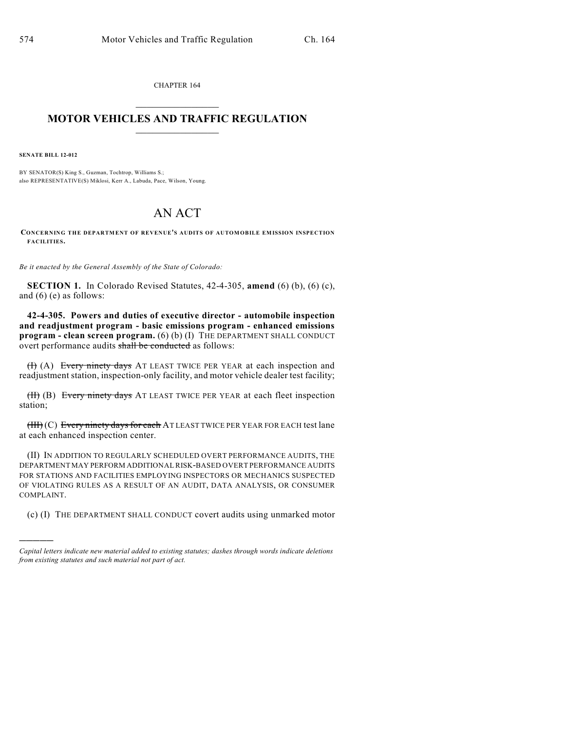CHAPTER 164  $\overline{\phantom{a}}$  . The set of the set of the set of the set of the set of the set of the set of the set of the set of the set of the set of the set of the set of the set of the set of the set of the set of the set of the set o

## **MOTOR VEHICLES AND TRAFFIC REGULATION**  $\frac{1}{2}$  ,  $\frac{1}{2}$  ,  $\frac{1}{2}$  ,  $\frac{1}{2}$  ,  $\frac{1}{2}$  ,  $\frac{1}{2}$  ,  $\frac{1}{2}$

**SENATE BILL 12-012**

)))))

BY SENATOR(S) King S., Guzman, Tochtrop, Williams S.; also REPRESENTATIVE(S) Miklosi, Kerr A., Labuda, Pace, Wilson, Young.

## AN ACT

**CONCERNING THE DEPARTMENT OF REVENUE'S AUDITS OF AUTOMOBILE EMISSION INSPECTION FACILITIES.**

*Be it enacted by the General Assembly of the State of Colorado:*

**SECTION 1.** In Colorado Revised Statutes, 42-4-305, **amend** (6) (b), (6) (c), and (6) (e) as follows:

**42-4-305. Powers and duties of executive director - automobile inspection and readjustment program - basic emissions program - enhanced emissions program - clean screen program.** (6) (b) (I) THE DEPARTMENT SHALL CONDUCT overt performance audits shall be conducted as follows:

(H) (A) Every ninety days AT LEAST TWICE PER YEAR at each inspection and readjustment station, inspection-only facility, and motor vehicle dealer test facility;

(H) (B) Every ninety days AT LEAST TWICE PER YEAR at each fleet inspection station;

(III) (C) Every ninety days for each AT LEAST TWICE PER YEAR FOR EACH test lane at each enhanced inspection center.

(II) IN ADDITION TO REGULARLY SCHEDULED OVERT PERFORMANCE AUDITS, THE DEPARTMENT MAY PERFORM ADDITIONALRISK-BASED OVERT PERFORMANCE AUDITS FOR STATIONS AND FACILITIES EMPLOYING INSPECTORS OR MECHANICS SUSPECTED OF VIOLATING RULES AS A RESULT OF AN AUDIT, DATA ANALYSIS, OR CONSUMER COMPLAINT.

(c) (I) THE DEPARTMENT SHALL CONDUCT covert audits using unmarked motor

*Capital letters indicate new material added to existing statutes; dashes through words indicate deletions from existing statutes and such material not part of act.*